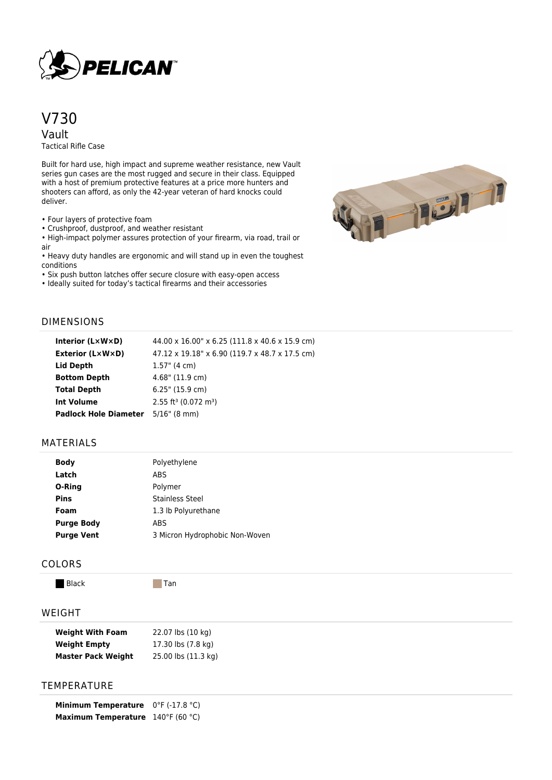

# V730 Vault

Tactical Rifle Case

Built for hard use, high impact and supreme weather resistance, new Vault series gun cases are the most rugged and secure in their class. Equipped with a host of premium protective features at a price more hunters and shooters can afford, as only the 42-year veteran of hard knocks could deliver.

• Four layers of protective foam

• Crushproof, dustproof, and weather resistant

• High-impact polymer assures protection of your firearm, via road, trail or air

• Heavy duty handles are ergonomic and will stand up in even the toughest conditions

• Six push button latches offer secure closure with easy-open access

• Ideally suited for today's tactical firearms and their accessories



# DIMENSIONS

| Interior $(L \times W \times D)$          | 44.00 x 16.00" x 6.25 (111.8 x 40.6 x 15.9 cm) |
|-------------------------------------------|------------------------------------------------|
| <b>Exterior (L×W×D)</b>                   | 47.12 x 19.18" x 6.90 (119.7 x 48.7 x 17.5 cm) |
| <b>Lid Depth</b>                          | $1.57$ " (4 cm)                                |
| <b>Bottom Depth</b>                       | $4.68$ " (11.9 cm)                             |
| <b>Total Depth</b>                        | $6.25$ " (15.9 cm)                             |
| Int Volume                                | $2.55$ ft <sup>3</sup> (0.072 m <sup>3</sup> ) |
| <b>Padlock Hole Diameter</b> 5/16" (8 mm) |                                                |

# MATERIALS

| <b>Body</b>       | Polyethylene                   |
|-------------------|--------------------------------|
| Latch             | ABS                            |
| O-Ring            | Polymer                        |
| <b>Pins</b>       | <b>Stainless Steel</b>         |
| Foam              | 1.3 lb Polyurethane            |
| <b>Purge Body</b> | <b>ABS</b>                     |
| <b>Purge Vent</b> | 3 Micron Hydrophobic Non-Woven |

#### COLORS

Black Tan

### WEIGHT

| <b>Weight With Foam</b>   | 22.07 lbs (10 kg)   |
|---------------------------|---------------------|
| <b>Weight Empty</b>       | 17.30 lbs (7.8 kg)  |
| <b>Master Pack Weight</b> | 25.00 lbs (11.3 kg) |

# **TEMPERATURE**

**Minimum Temperature** 0°F (-17.8 °C) **Maximum Temperature** 140°F (60 °C)